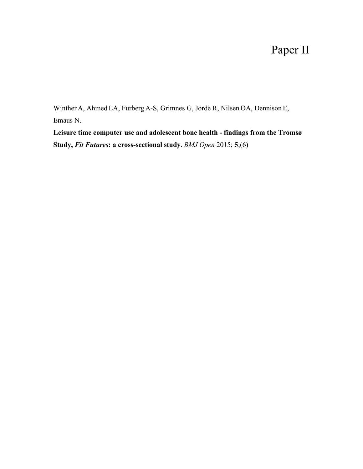# Paper II

Winther A, Ahmed LA, Furberg A-S, Grimnes G, Jorde R, Nilsen OA, Dennison E, Emaus N.

**Leisure time computer use and adolescent bone health - findings from the Tromsø Study,** *Fit Futures***: a cross-sectional study**. *BMJ Open* 2015; **5**;(6)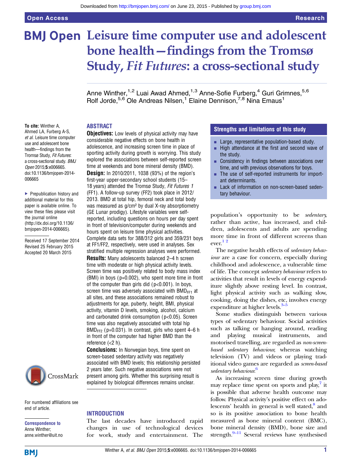# BMJ Open Leisure time computer use and adolescent bone health—findings from the Tromsø Study, Fit Futures: a cross-sectional study

Anne Winther,<sup>1,2</sup> Luai Awad Ahmed,<sup>1,3</sup> Anne-Sofie Furberg,<sup>4</sup> Guri Grimnes,<sup>5,6</sup> Rolf Jorde,<sup>5,6</sup> Ole Andreas Nilsen,<sup>1</sup> Elaine Dennison,<sup>7,8</sup> Nina Emaus<sup>1</sup>

#### ABSTRACT

To cite: Winther A, Ahmed LA, Furberg A-S, et al. Leisure time computer use and adolescent bone health—findings from the Tromsø Study, Fit Futures: a cross-sectional study. BMJ Open 2015;5:e006665. doi:10.1136/bmjopen-2014- 006665

▶ Prepublication history and additional material for this paper is available online. To view these files please visit the journal online [\(http://dx.doi.org/10.1136/](http://dx.doi.org/10.1136/bmjopen-2014-006665) [bmjopen-2014-006665](http://dx.doi.org/10.1136/bmjopen-2014-006665)).

Received 17 September 2014 Revised 25 February 2015 Accepted 20 March 2015



For numbered affiliations see end of article.

Correspondence to Anne Winther; anne.winther@uit.no

**Objectives:** Low levels of physical activity may have considerable negative effects on bone health in adolescence, and increasing screen time in place of sporting activity during growth is worrying. This study explored the associations between self-reported screen time at weekends and bone mineral density (BMD).

Design: In 2010/2011, 1038 (93%) of the region's first-year upper-secondary school students (15– 18 years) attended the Tromsø Study, Fit Futures 1 (FF1). A follow-up survey (FF2) took place in 2012/ 2013. BMD at total hip, femoral neck and total body was measured as g/cm² by dual X-ray absorptiometry (GE Lunar prodigy). Lifestyle variables were selfreported, including questions on hours per day spent in front of television/computer during weekends and hours spent on leisure time physical activities.

Complete data sets for 388/312 girls and 359/231 boys at FF1/FF2, respectively, were used in analyses. Sex stratified multiple regression analyses were performed.

Results: Many adolescents balanced 2–4 h screen time with moderate or high physical activity levels. Screen time was positively related to body mass index (BMI) in boys ( p=0.002), who spent more time in front of the computer than girls did  $(p<0.001)$ . In boys, screen time was adversely associated with BMD<sub>FF1</sub> at all sites, and these associations remained robust to adjustments for age, puberty, height, BMI, physical activity, vitamin D levels, smoking, alcohol, calcium and carbonated drink consumption ( p<0.05). Screen time was also negatively associated with total hip  $BMD_{FF2}$  (p=0.031). In contrast, girls who spent 4–6 h in front of the computer had higher BMD than the reference (<2 h).

**Conclusions:** In Norwegian boys, time spent on screen-based sedentary activity was negatively associated with BMD levels; this relationship persisted 2 years later. Such negative associations were not present among girls. Whether this surprising result is explained by biological differences remains unclear.

#### INTRODUCTION

The last decades have introduced rapid changes in use of technological devices for work, study and entertainment. The

#### Strengths and limitations of this study

- **EXECUTE:** Large, representative population-based study.
- $\blacksquare$  High attendance at the first and second wave of the study.
- Consistency in findings between associations over time, and with previous observations for boys.
- The use of self-reported instruments for important determinants.
- Lack of information on non-screen-based sedentary behaviour.

population's opportunity to be sedentary, rather than active, has increased, and children, adolescents and adults are spending more time in front of different screens than ever.1 2

The negative health effects of sedentary behaviour are a case for concern, especially during childhood and adolescence, a vulnerable time of life. The concept sedentary behaviour refers to activities that result in levels of energy expenditure slightly above resting level. In contrast, light physical activity such as walking slow, cooking, doing the dishes, etc, involves energy expenditure at higher levels. $3-5$ 

Some studies distinguish between various types of sedentary behaviour. Social activities such as talking or hanging around, reading and playing musical instruments, and motorised travelling, are regarded as non-screenbased sedentary behaviour, whereas watching television (TV) and videos or playing traditional video games are regarded as screen-based sedentary behaviour.<sup>6</sup>

As increasing screen time during growth may replace time spent on sports and  $play''$  it is possible that adverse health outcome may follow. Physical activity's positive effect on adolescents' health in general is well stated, $\frac{8}{3}$  and so is its positive association to bone health measured as bone mineral content (BMC), bone mineral density (BMD), bone size and strength. $9-11$  Several reviews have synthesised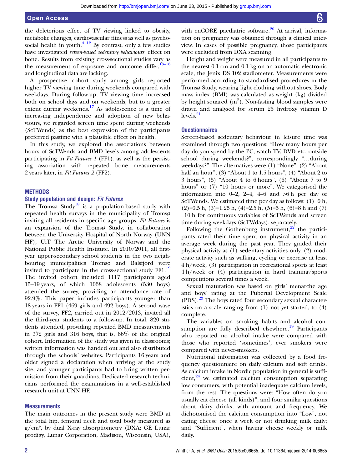the deleterious effect of TV viewing linked to obesity, metabolic changes, cardiovascular fitness as well as psychosocial health in youth.<sup>4 12</sup> By contrast, only a few studies have investigated screen-based sedentary behaviours' effect on bone. Results from existing cross-sectional studies vary as the measurement of exposure and outcome differ, $13-16$ and longitudinal data are lacking.

A prospective cohort study among girls reported higher TV viewing time during weekends compared with weekdays. During follow-up, TV viewing time increased both on school days and on weekends, but to a greater extent during weekends.<sup>17</sup> As adolescence is a time of increasing independence and adoption of new behaviours, we regarded screen time spent during weekends (ScTWends) as the best expression of the participants preferred pastime with a plausible effect on health.

In this study, we explored the associations between hours of ScTWends and BMD levels among adolescents participating in Fit Futures 1 (FF1), as well as the persisting association with repeated bone measurements 2 years later, in Fit Futures 2 (FF2).

#### **METHODS**

#### Study population and design: Fit Futures

The Tromsø Study<sup>18</sup> is a population-based study with repeated health surveys in the municipality of Tromsø inviting all residents in specific age groups. Fit Futures is an expansion of the Tromsø Study, in collaboration between the University Hospital of North Norway (UNN HF), UiT The Arctic University of Norway and the National Public Health Institute. In 2010/2011, all firstyear upper-secondary school students in the two neighbouring municipalities Tromsø and Balsfjord were invited to participate in the cross-sectional study FF1.<sup>19</sup> The invited cohort included 1117 participants aged 15–19 years, of which 1038 adolescents (530 boys) attended the survey, providing an attendance rate of 92.9%. This paper includes participants younger than 18 years in FF1 (469 girls and 492 boys). A second wave of the survey, FF2, carried out in 2012/2013, invited all the third-year students to a follow-up. In total, 820 students attended, providing repeated BMD measurements in 372 girls and 316 boys, that is, 66% of the original cohort. Information of the study was given in classrooms; written information was handed out and also distributed through the schools' websites. Participants 16 years and older signed a declaration when arriving at the study site, and younger participants had to bring written permission from their guardians. Dedicated research technicians performed the examinations in a well-established research unit at UNN HF.

#### **Measurements**

The main outcomes in the present study were BMD at the total hip, femoral neck and total body measured as g/cm², by dual X-ray absorptiometry (DXA; GE Lunar prodigy, Lunar Corporation, Madison, Wisconsin, USA),

with enCORE paediatric software. $20$  At arrival, information on pregnancy was obtained through a clinical interview. In cases of possible pregnancy, those participants were excluded from DXA scanning.

Height and weight were measured in all participants to the nearest 0.1 cm and 0.1 kg on an automatic electronic scale, the Jenix DS 102 stadiometer. Measurements were performed according to standardised procedures in the Tromsø Study, wearing light clothing without shoes. Body mass index (BMI) was calculated as weight (kg) divided by height squared  $(m^2)$ . Non-fasting blood samples were drawn and analysed for serum 25 hydroxy vitamin D  $levels<sup>21</sup>$ 

#### **Questionnaires**

Screen-based sedentary behaviour in leisure time was examined through two questions: "How many hours per day do you spend by the PC, watch TV, DVD etc, outside school during weekends?", correspondingly "…during weekdays?". The alternatives were (1) "None", (2) "About half an hour", (3) "About 1 to 1.5 hours", (4) "About 2 to 3 hours", (5) "About 4 to 6 hours", (6) "About 7 to 9 hours" or (7) "10 hours or more". We categorised the information into  $0-2$ ,  $2-4$ ,  $4-6$  and  $>6$  h per day of ScTWends. We estimated time per day as follows:  $(1)=0$  h,  $(2)=0.5$  h,  $(3)=1.25$  h,  $(4)=2.5$  h,  $(5)=5$  h,  $(6)=8$  h and  $(7)$ =10 h for continuous variables of ScTWends and screen time during weekdays (ScTWdays), separately.

Following the Gothenburg instrument, $^{22}$  the participants rated their time spent on physical activity in an average week during the past year. They graded their physical activity as (1) sedentary activities only, (2) moderate activity such as walking, cycling or exercise at least 4 h/week, (3) participation in recreational sports at least 4 h/week or (4) participation in hard training/sports competitions several times a week.

Sexual maturation was based on girls' menarche age and boys' rating at the Pubertal Development Scale (PDS).<sup>23</sup> The boys rated four secondary sexual characteristics on a scale ranging from (1) not yet started, to (4) complete.

The variables on smoking habits and alcohol consumption are fully described elsewhere.<sup>19</sup> Participants who reported no alcohol intake were compared with those who reported 'sometimes'; ever smokers were compared with never-smokers.

Nutritional information was collected by a food frequency questionnaire on daily calcium and soft drinks. As calcium intake in Nordic population in general is sufficient,<sup>24</sup> we estimated calcium consumption separating low consumers, with potential inadequate calcium levels, from the rest. The questions were: "How often do you usually eat cheese (all kinds)", and four similar questions about dairy drinks, with amount and frequency. We dichotomised the calcium consumption into "Low", not eating cheese once a week or not drinking milk daily; and "Sufficient", when having cheese weekly or milk daily.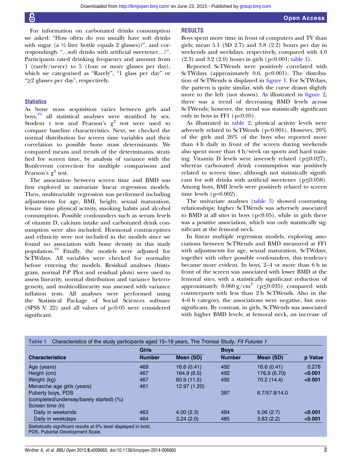For information on carbonated drinks consumption we asked: "How often do you usually have soft drinks with sugar (a  $\frac{1}{2}$  litre bottle equals 2 glasses)?", and correspondingly "…soft drinks with artificial sweetener…?". Participants rated drinking frequency and amount from 1 (rarely/never) to 5 (four or more glasses per day), which we categorised as "Rarely", "1 glass per day" or "≥2 glasses per day", respectively.

#### **Statistics**

As bone mass acquisition varies between girls and boys,<sup>19</sup> all statistical analyses were stratified by sex. Student t test and Pearson's  $\chi^2$  test were used to compare baseline characteristics. Next, we checked the normal distribution for screen time variables and their correlation to possible bone mass determinants. We compared means and trends of the determinants, stratified for screen time, by analysis of variance with the Bonferroni correction for multiple comparisons and Pearson's  $χ²$  test.

The association between screen time and BMD was first explored in univariate linear regression models. Then, multivariable regression was performed including adjustments for age, BMI, height, sexual maturation, leisure time physical activity, smoking habits and alcohol consumption. Possible confounders such as serum levels of vitamin D, calcium intake and carbonated drink consumption were also included. Hormonal contraceptives and ethnicity were not included in the models since we found no association with bone density in this study population.<sup>19</sup> Finally, the models were adjusted for ScTWdays. All variables were checked for normality before entering the models. Residual analyses (histogram, normal P-P Plot and residual plots) were used to assess linearity, normal distribution and variance heterogeneity, and multicollinearity was assessed with variance inflation tests. All analyses were performed using the Statistical Package of Social Sciences software (SPSS V. 22) and all values of  $p<0.05$  were considered significant.

#### RESULTS

Boys spent more time in front of computers and TV than girls; mean  $5.1$  (SD  $2.7$ ) and  $3.8$  (2.2) hours per day in weekends and weekdays, respectively, compared with 4.0 (2.3) and 3.2 (2.0) hours in girls (p<0.001; table 1).

Reported ScTWends were positively correlated with ScTWdays (approximately 0.6,  $p<0.001$ ). The distribution of ScTWends is displayed in figure 1. For ScTWdays, the pattern is quite similar, with the curve drawn slightly more to the left (not shown). As illustrated in figure 2, there was a trend of decreasing BMD levels across ScTWends; however, the trend was statistically significant only in boys in FF1 ( $p<0.05$ ).

As illustrated in table 2, physical activity levels were adversely related to ScTWends (p<0.001). However, 20% of the girls and 26% of the boys who reported more than 4 h daily in front of the screen during weekends also spent more than 4 h/week on sports and hard training. Vitamin D levels were inversely related ( $p \le 0.027$ ), whereas carbonated drink consumption was positively related to screen time, although not statistically significant for soft drinks with artificial sweetener ( $p \le 0.058$ ). Among boys, BMI levels were positively related to screen time levels  $(p=0.002)$ .

The univariate analyses (table 3) showed contrasting relationships; higher ScTWends was adversely associated to BMD at all sites in boys  $(p<0.05)$ , while in girls there was a positive association, which was only statistically significant at the femoral neck.

In linear multiple regression models, exploring associations between ScTWends and BMD measured at FF1 with adjustments for age, sexual maturation, ScTWdays, together with other possible confounders, this tendency became more evident. In boys, 2–4 or more than 6 h in front of the screen was associated with lower BMD at the femoral sites, with a statistically significant reduction of approximately  $0.060 \text{ g/cm}^2$  (p≤0.035) compared with counterparts with less than 2 h ScTWends. Also in the 4–6 h category, the associations were negative, but nonsignificant. By contrast, in girls, ScTWends was associated with higher BMD levels; at femoral neck, an increase of

|                                         | <b>Girls</b>  |              | <b>Boys</b>   |               |         |
|-----------------------------------------|---------------|--------------|---------------|---------------|---------|
| <b>Characteristics</b>                  | <b>Number</b> | Mean (SD)    | <b>Number</b> | Mean (SD)     | p Value |
| Age (years)                             | 469           | 16.6 (0.41)  | 492           | 16.6(0.41)    | 0.278   |
| Height (cm)                             | 467           | 164.9(6.5)   | 492           | 176.9 (6.70)  | < 0.001 |
| Weight (kg)                             | 467           | 60.9 (11.5)  | 492           | 70.2 (14.4)   | < 0.001 |
| Menarche age girls (years)              | 461           | 12.97 (1.20) |               |               |         |
| Puberty boys, PDS                       |               |              | 387           | 6.7/57.9/14.0 |         |
| (completed/underway/barely started) (%) |               |              |               |               |         |
| Screen time (h)                         |               |              |               |               |         |
| Daily in weekends                       | 463           | 4.00(2.3)    | 484           | 5.06(2.7)     | < 0.001 |
| Daily in weekdays                       | 464           | 3.24(2.0)    | 485           | 3.83(2.2)     | < 0.001 |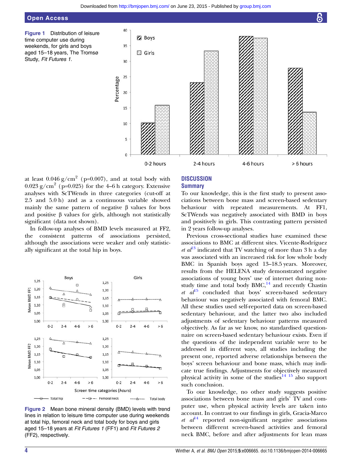Open Access

Figure 1 Distribution of leisure time computer use during weekends, for girls and boys aged 15–18 years, The Tromsø Study, Fit Futures 1.



at least  $0.046$  g/cm<sup>2</sup> (p=0.007), and at total body with  $0.023$  g/cm<sup>2</sup> (p=0.025) for the 4–6 h category. Extensive analyses with ScTWends in three categories (cut-off at 2.5 and 5.0 h) and as a continuous variable showed mainly the same pattern of negative β values for boys and positive  $\beta$  values for girls, although not statistically significant (data not shown).

In follow-up analyses of BMD levels measured at FF2, the consistent patterns of associations persisted, although the associations were weaker and only statistically significant at the total hip in boys.



Figure 2 Mean bone mineral density (BMD) levels with trend lines in relation to leisure time computer use during weekends at total hip, femoral neck and total body for boys and girls aged 15–18 years at Fit Futures 1 (FF1) and Fit Futures 2 (FF2), respectively.

#### **DISCUSSION Summary**

To our knowledge, this is the first study to present associations between bone mass and screen-based sedentary behaviour with repeated measurements. At FF1, ScTWends was negatively associated with BMD in boys and positively in girls. This contrasting pattern persisted in 2 years follow-up analyses.

Previous cross-sectional studies have examined these associations to BMC at different sites. Vicente-Rodríguez *et al*<sup>13</sup> indicated that TV watching of more than 3 h a day was associated with an increased risk for low whole body BMC in Spanish boys aged 13–18.5 years. Moreover, results from the HELENA study demonstrated negative associations of young boys' use of internet during nonstudy time and total body  $BMC$ ,<sup>14</sup> and recently Chastin et  $al^{15}$  concluded that boys' screen-based sedentary behaviour was negatively associated with femoral BMC. All these studies used self-reported data on screen-based sedentary behaviour, and the latter two also included adjustments of sedentary behaviour patterns measured objectively. As far as we know, no standardised questionnaire on screen-based sedentary behaviour exists. Even if the questions of the independent variable were to be addressed in different ways, all studies including the present one, reported adverse relationships between the boys' screen behaviour and bone mass, which may indicate true findings. Adjustments for objectively measured physical activity in some of the studies<sup>14 15</sup> also support such conclusion.

To our knowledge, no other study suggests positive associations between bone mass and girls' TV and computer use, when physical activity levels are taken into account. In contrast to our findings in girls, Gracia-Marco et  $al^{\mathbb{I}4}$  reported non-significant negative associations between different screen-based activities and femoral neck BMC, before and after adjustments for lean mass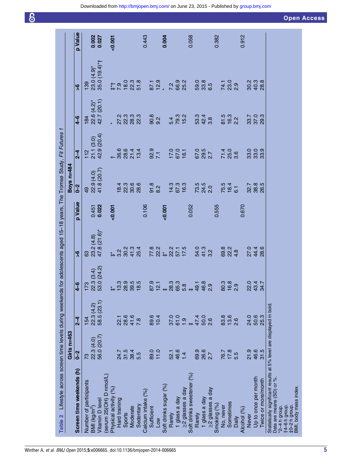| <b>Open Access</b> |  |  |
|--------------------|--|--|
|                    |  |  |
|                    |  |  |

|                                                                                                   | Girls n=463   |                              |                                                              |                                                       |                  | <b>Boys</b> n=484               |                                  |                                                                   |                                |         |
|---------------------------------------------------------------------------------------------------|---------------|------------------------------|--------------------------------------------------------------|-------------------------------------------------------|------------------|---------------------------------|----------------------------------|-------------------------------------------------------------------|--------------------------------|---------|
| Screen time weekends (h)                                                                          | $0 - 2$       | $2 - 4$                      | $4-6$                                                        | $\frac{6}{1}$                                         | p Value          | $\overline{a}$                  | $2 - 4$                          | $4-6$                                                             | $\frac{6}{1}$                  | p Value |
| Number of participants                                                                            | 73            | 154                          | $\begin{array}{c} 173 \\ 22.3 \\ 53.0 \\ (24.2) \end{array}$ | 8                                                     |                  | 49<br>22.9 (4.0)<br>41.8 (20.7) | 112<br>21.1 (3.0)<br>42.9 (20.4) | $\begin{array}{c}\n 184 \\  22.6 \\  42.7 \\  20.1\n \end{array}$ | 139                            |         |
| BMI (kg/m <sup>2</sup> )                                                                          | 22.3(4.0)     | $22.3(4.2)$<br>58.5 $(23.1)$ |                                                              | $23.2(4.8)$<br>47.8 $(21.6)$ *                        | $0.451$<br>0.022 |                                 |                                  |                                                                   | $23.0(4.9)*$<br>35.0 $(19.4)*$ | 0.002   |
| Vitamin D level                                                                                   | 56.0 (20.7)   |                              |                                                              |                                                       |                  |                                 |                                  |                                                                   |                                |         |
| (serum 25(OH) D nmol/L)                                                                           |               |                              |                                                              |                                                       |                  |                                 |                                  |                                                                   |                                |         |
| Physical activity (%)                                                                             |               |                              |                                                              |                                                       | 0.001            |                                 |                                  |                                                                   | 7.9                            | 0.001   |
| Hard training                                                                                     | 24.7          | 22.1                         |                                                              |                                                       |                  |                                 |                                  |                                                                   |                                |         |
| Sports                                                                                            | 31.5          |                              |                                                              |                                                       |                  |                                 |                                  |                                                                   |                                |         |
| Moderate                                                                                          | 38.4          | 28.6<br>41.6                 | 27.799999                                                    | $7.28$<br>$7.29$<br>$7.29$<br>$7.5$<br>$7.5$<br>$7.5$ |                  | 1<br>8 2 1 0 10<br>1 0 10 10    | $+ 38874$<br>$+ 38874$           | 2<br>22 32 32<br>23 32 32                                         | $18.0$<br>$28.5$               |         |
| Sedentary                                                                                         | 5.5           | 7.8                          |                                                              |                                                       |                  |                                 |                                  |                                                                   |                                |         |
| Calcium intake (%)                                                                                |               |                              |                                                              |                                                       | 0.106            |                                 |                                  |                                                                   |                                | 0.443   |
| Sufficient                                                                                        | 89.0          | 89.6                         | 87.9                                                         |                                                       |                  | 91.8                            | 92.9                             | 90.8                                                              | 87.1<br>12.9                   |         |
| Low                                                                                               | 11.0          | 10.4                         |                                                              |                                                       |                  | 8.2                             |                                  | 9.2                                                               |                                |         |
| Soft drinks sugar (%)                                                                             |               |                              |                                                              |                                                       | 0.001            |                                 |                                  |                                                                   |                                | 0.004   |
| Rarely                                                                                            | 52.1          | 37.0                         |                                                              |                                                       |                  |                                 |                                  |                                                                   |                                |         |
| 1 glass a day                                                                                     | 46.6          |                              |                                                              |                                                       |                  |                                 |                                  |                                                                   |                                |         |
| ≥2 glasses a day                                                                                  | 1.4           | 61.9                         |                                                              | $724 * 2575$<br>$724 * 2575$                          |                  | $14.3$<br>$67.3$<br>$16.3$      | 17.0<br>67.0<br>16.1             | 5.4<br>79.2<br>15.2                                               | 7.9<br>66.9<br>25.2            |         |
| Soft drinks sweetener (%)                                                                         |               |                              | $+$                                                          |                                                       | 0.052            |                                 |                                  |                                                                   |                                | 0.058   |
| Rarely                                                                                            | 69.9          | 47.4                         | $49.1$<br>$46.9$<br>$2.9$                                    | $74.2$<br>$74.2$<br>$74.2$                            |                  | 73.5<br>24.5<br>2.0             | 67.0<br>29.5<br>2.7              | 534<br>924<br>33                                                  | 0.0<br>0.0.0<br>0.0.0          |         |
| 1 glass a day                                                                                     | 26.6          | 50.0<br>2.6                  |                                                              |                                                       |                  |                                 |                                  |                                                                   |                                |         |
| ≥2 glasses a day                                                                                  | 2.7           |                              |                                                              |                                                       |                  |                                 |                                  |                                                                   |                                |         |
| Smoking (%)                                                                                       |               |                              |                                                              |                                                       | 0.555            |                                 |                                  |                                                                   |                                | 0.382   |
| No, never                                                                                         | 76.7          | 83.8                         |                                                              |                                                       |                  |                                 |                                  |                                                                   |                                |         |
| Sometimes                                                                                         | $17.8$<br>5.5 | 13.6                         | 80.3<br>16.8<br>2.9                                          | 8<br>823<br>624                                       |                  | 75.5<br>18.4<br>6.1             |                                  | 81.5<br>16.3<br>2.2                                               |                                |         |
| Daily                                                                                             |               | 2.6                          |                                                              |                                                       |                  |                                 | 71.4<br>25.0<br>3.6              |                                                                   | 74.1<br>23.0<br>2.9            |         |
| Alcohol (%)                                                                                       |               |                              |                                                              |                                                       | 0.670            |                                 |                                  |                                                                   |                                | 0.912   |
| <b>Never</b>                                                                                      | 21.9          | 24.0                         |                                                              | 21488<br>2148                                         |                  | 32.7<br>38.8                    | 0<br>33<br>33<br>33              | 7<br>37<br>38<br>38                                               | 2<br>8 9 8<br>8 9 8            |         |
| Up to once per month                                                                              | 46.6          | 50.6                         |                                                              |                                                       |                  |                                 |                                  |                                                                   |                                |         |
| Twice or more/month                                                                               | 31.5          | 25.3                         |                                                              |                                                       |                  | 26.5                            |                                  |                                                                   |                                |         |
| Statistically significant results at 5% level are displayed in bold.<br>Data are means (SD) or %. |               |                              |                                                              |                                                       |                  |                                 |                                  |                                                                   |                                |         |
| $*2 - 4 h$ group.                                                                                 |               |                              |                                                              |                                                       |                  |                                 |                                  |                                                                   |                                |         |
| t4-6h group.                                                                                      |               |                              |                                                              |                                                       |                  |                                 |                                  |                                                                   |                                |         |
| t0-2h group.                                                                                      |               |                              |                                                              |                                                       |                  |                                 |                                  |                                                                   |                                |         |
| BMI, body mass index.                                                                             |               |                              |                                                              |                                                       |                  |                                 |                                  |                                                                   |                                |         |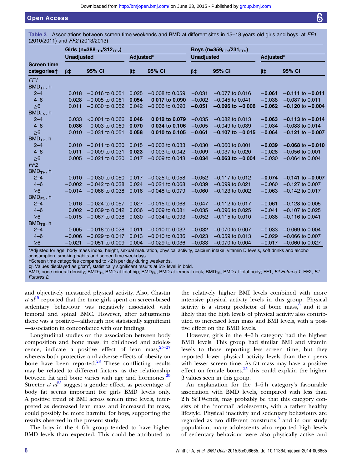### Open Access

Table 3 Associations between screen time weekends and BMD at different sites in 15–18 years old girls and boys, at FF1 (2010/2011) and FF2 (2013/2013)

|                                   | Girls (n=388 <sub>FF1</sub> /312 <sub>FF2</sub> ) |                     |           | Boys (n=359 <sub>FF1</sub> /231 <sub>FF2</sub> ) |                   |                      |           |                      |
|-----------------------------------|---------------------------------------------------|---------------------|-----------|--------------------------------------------------|-------------------|----------------------|-----------|----------------------|
|                                   | <b>Unadjusted</b>                                 |                     | Adjusted* |                                                  | <b>Unadjusted</b> |                      | Adjusted* |                      |
| <b>Screen time</b><br>categories† | $\beta \ddagger$                                  | 95% CI              | $\beta$ ‡ | 95% CI                                           | $\beta \ddagger$  | 95% CI               | $\beta$ ‡ | 95% CI               |
| FF <sub>1</sub>                   |                                                   |                     |           |                                                  |                   |                      |           |                      |
| $BMDTH$ , h                       |                                                   |                     |           |                                                  |                   |                      |           |                      |
| $2 - 4$                           | 0.018                                             | $-0.016$ to 0.051   | 0.025     | $-0.008$ to 0.059                                | $-0.031$          | $-0.077$ to 0.016    | $-0.061$  | $-0.111$ to $-0.011$ |
| $4 - 6$                           | 0.028                                             | $-0.005$ to 0.061   | 0.054     | 0.017 to 0.090                                   | $-0.002$          | $-0.045$ to 0.041    | $-0.038$  | $-0.087$ to 0.011    |
| $\geq 6$                          | 0.011                                             | $-0.030$ to 0.052   | 0.042     | $-0.006$ to 0.090                                | $-0.051$          | $-0.096$ to $-0.006$ | $-0.062$  | $-0.120$ to $-0.004$ |
| $BMD_{FN}$ , h                    |                                                   |                     |           |                                                  |                   |                      |           |                      |
| $2 - 4$                           | 0.033                                             | $< 0.001$ to 0.066  | 0.046     | 0.012 to 0.079                                   | $-0.035$          | $-0.082$ to 0.013    | $-0.063$  | $-0.113$ to $-0.014$ |
| $4 - 6$                           | 0.036                                             | 0.003 to 0.069      | 0.070     | 0.034 to 0.106                                   | $-0.005$          | $-0.049$ to 0.039    | $-0.034$  | $-0.083$ to 0.014    |
| >6                                | 0.010                                             | $-0.031$ to 0.051   | 0.058     | 0.010 to 0.105                                   | $-0.061$          | $-0.107$ to $-0.015$ | $-0.064$  | $-0.121$ to $-0.007$ |
| $BMDTB$ , h                       |                                                   |                     |           |                                                  |                   |                      |           |                      |
| $2 - 4$                           | 0.010                                             | $-0.011$ to 0.030   | 0.015     | $-0.003$ to 0.033                                | $-0.030$          | $-0.060$ to 0.001    | $-0.039$  | $-0.068$ to $-0.010$ |
| $4 - 6$                           | 0.011                                             | $-0.009$ to 0.031   | 0.023     | 0.003 to 0.042                                   | $-0.009$          | $-0.037$ to $0.020$  | $-0.028$  | $-0.056$ to 0.001    |
| $\geq 6$                          | 0.005                                             | $-0.021$ to 0.030   | 0.017     | $-0.009$ to 0.043                                | $-0.034$          | $-0.063$ to $-0.004$ | $-0.030$  | $-0.064$ to 0.004    |
| FF <sub>2</sub>                   |                                                   |                     |           |                                                  |                   |                      |           |                      |
| $BMD$ <sub>TH</sub> , h           |                                                   |                     |           |                                                  |                   |                      |           |                      |
| $2 - 4$                           | 0.010                                             | $-0.030$ to $0.050$ | 0.017     | $-0.025$ to 0.058                                | $-0.052$          | $-0.117$ to 0.012    | $-0.074$  | $-0.141$ to $-0.007$ |
| $4 - 6$                           | $-0.002$                                          | $-0.042$ to 0.038   | 0.024     | $-0.021$ to 0.068                                | $-0.039$          | $-0.099$ to 0.021    | $-0.060$  | $-0.127$ to 0.007    |
| $\geq 6$                          | $-0.014$                                          | $-0.066$ to 0.038   | 0.016     | $-0.048$ to 0.079                                | $-0.060$          | $-0.123$ to 0.002    | $-0.063$  | $-0.142$ to 0.017    |
| $BMD_{FN}$ , h                    |                                                   |                     |           |                                                  |                   |                      |           |                      |
| $2 - 4$                           | 0.016                                             | $-0.024$ to 0.057   | 0.027     | $-0.015$ to 0.068                                | $-0.047$          | $-0.112$ to 0.017    | $-0.061$  | $-0.128$ to 0.005    |
| $4 - 6$                           | 0.002                                             | $-0.039$ to 0.042   | 0.036     | $-0.009$ to 0.081                                | $-0.035$          | $-0.096$ to 0.025    | $-0.041$  | $-0.107$ to 0.025    |
| $\geq 6$                          | $-0.015$                                          | $-0.067$ to 0.038   | 0.030     | $-0.034$ to 0.093                                | $-0.052$          | $-0.115$ to 0.010    | $-0.038$  | $-0.116$ to 0.041    |
| $BMDTB$ , h                       |                                                   |                     |           |                                                  |                   |                      |           |                      |
| $2 - 4$                           | 0.005                                             | $-0.018$ to 0.028   | 0.011     | $-0.010$ to 0.032                                | $-0.032$          | $-0.070$ to 0.007    | $-0.033$  | $-0.069$ to 0.004    |
| $4 - 6$                           | $-0.006$                                          | $-0.029$ to 0.017   | 0.013     | $-0.010$ to 0.036                                | $-0.023$          | $-0.059$ to 0.013    | $-0.029$  | $-0.066$ to $0.007$  |
| $\geq 6$                          | $-0.021$                                          | $-0.051$ to 0.009   | 0.004     | $-0.029$ to 0.036                                | $-0.033$          | $-0.070$ to 0.004    | $-0.017$  | $-0.060$ to 0.027    |

\*Adjusted for age, body mass index, height, sexual maturation, physical activity, calcium intake, vitamin D levels, soft drinks and alcohol consumption, smoking habits and screen time weekdays.

†Screen time categories compared to <2 h per day during weekends.

 $\ddagger$ β Values displayed as g/cm<sup>2</sup>, statistically significant results at 5% level in bold.

BMD, bone mineral density; BMD<sub>TH</sub>, BMD at total hip; BMD<sub>FN</sub>, BMD at femoral neck; BMD<sub>TB</sub>, BMD at total body; FF1, Fit Futures 1; FF2, Fit Futures 2.

and objectively measured physical activity. Also, Chastin *et al*<sup>15</sup> reported that the time girls spent on screen-based sedentary behaviour was negatively associated with femoral and spinal BMC. However, after adjustments there was a positive—although not statistically significant —association in concordance with our findings.

Longitudinal studies on the association between body composition and bone mass, in childhood and adolescence, indicate a positive effect of lean mass,  $25-27$ whereas both protective and adverse effects of obesity on bone have been reported. $^{28}$  These conflicting results may be related to different factors, as the relationship between fat and bone varies with age and hormones.<sup>29</sup> Streeter *et al*<sup>25</sup> suggest a gender effect, as percentage of body fat seems important for girls BMD levels only. A positive trend of BMI across screen time levels, interpreted as decreased lean mass and increased fat mass, could possibly be more harmful for boys, supporting the results observed in the present study.

The boys in the 4–6 h group tended to have higher BMD levels than expected. This could be attributed to

the relatively higher BMI levels combined with more intensive physical activity levels in this group. Physical activity is a strong predictor of bone mass,  $\frac{9}{3}$  and it is likely that the high levels of physical activity also contributed to increased lean mass and BMI levels, with a positive effect on the BMD levels.

However, girls in the 4–6 h category had the highest BMD levels. This group had similar BMI and vitamin levels to those reporting less screen time, but they reported lower physical activity levels than their peers with lesser screen time. As fat mass may have a positive effect on female bones, $25$  this could explain the higher β values seen in this group.

An explanation for the 4–6 h category's favourable association with BMD levels, compared with less than 2 h ScTWends, may probably be that this category consists of the 'normal' adolescents, with a rather healthy lifestyle. Physical inactivity and sedentary behaviours are regarded as two different constructs,<sup>3</sup> and in our study population, many adolescents who reported high levels of sedentary behaviour were also physically active and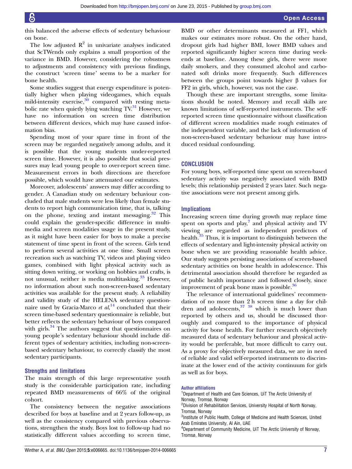this balanced the adverse effects of sedentary behaviour on bone.

The low adjusted  $R^2$  in univariate analyses indicated that ScTWends only explains a small proportion of the variance in BMD. However, considering the robustness to adjustments and consistency with previous findings, the construct 'screen time' seems to be a marker for bone health.

Some studies suggest that energy expenditure is potentially higher when playing videogames, which equals mild-intensity exercise, $30 \text{ compared with resting meta-}$ bolic rate when quietly lying watching  $TV<sup>31</sup>$  However, we have no information on screen time distribution between different devices, which may have caused information bias.

Spending most of your spare time in front of the screen may be regarded negatively among adults, and it is possible that the young students under-reported screen time. However, it is also possible that social pressures may lead young people to over-report screen time. Measurement errors in both directions are therefore possible, which would have attenuated our estimates.

Moreover, adolescents' answers may differ according to gender. A Canadian study on sedentary behaviour concluded that male students were less likely than female students to report high communication time, that is, talking on the phone, texting and instant messaging. $32$  This could explain the gender-specific difference in multimedia and screen modalities usage in the present study, as it might have been easier for boys to make a precise statement of time spent in front of the screen. Girls tend to perform several activities at one time. Small screen recreation such as watching TV, videos and playing video games, combined with light physical activity such as sitting down writing, or working on hobbies and crafts, is not unusual, neither is media multitasking.<sup>33</sup> However, no information about such non-screen-based sedentary activities was available for the present study. A reliability and validity study of the HELENA sedentary questionnaire used by Gracia-Marco et  $al$ ,<sup>14</sup> concluded that their screen time-based sedentary questionnaire is reliable, but better reflects the sedentary behaviour of boys compared with girls.<sup>34</sup> The authors suggest that questionnaires on young people's sedentary behaviour should include different types of sedentary activities, including non-screenbased sedentary behaviour, to correctly classify the most sedentary participants.

#### Strengths and limitations

The main strength of this large representative youth study is the considerable participation rate, including repeated BMD measurements of 66% of the original cohort.

The consistency between the negative associations described for boys at baseline and at 2 years follow-up, as well as the consistency compared with previous observations, strengthen the study. Boys lost to follow-up had no statistically different values according to screen time,

BMD or other determinants measured at FF1, which makes our estimates more robust. On the other hand, dropout girls had higher BMI, lower BMD values and reported significantly higher screen time during weekends at baseline. Among these girls, there were more daily smokers, and they consumed alcohol and carbonated soft drinks more frequently. Such differences between the groups point towards higher β values for FF2 in girls, which, however, was not the case.

Though these are important strengths, some limitations should be noted. Memory and recall skills are known limitations of self-reported instruments. The selfreported screen time questionnaire without classification of different screen modalities made rough estimates of the independent variable, and the lack of information of non-screen-based sedentary behaviour may have introduced residual confounding.

#### **CONCLUSION**

For young boys, self-reported time spent on screen-based sedentary activity was negatively associated with BMD levels; this relationship persisted 2 years later. Such negative associations were not present among girls.

#### **Implications**

Increasing screen time during growth may replace time spent on sports and  $play<sub>i</sub><sup>7</sup>$  and physical activity and TV viewing are regarded as independent predictors of health.<sup>35</sup> Thus, it is important to distinguish between the effects of sedentary and light-intensity physical activity on bone when we are providing reasonable health advice. Our study suggests persisting associations of screen-based sedentary activities on bone health in adolescence. This detrimental association should therefore be regarded as of public health importance and followed closely, since improvement of peak bone mass is possible.<sup>36</sup>

The relevance of international guidelines' recommendation of no more than 2 h screen time a day for children and adolescents, $37 \times 38$  which is much lower than reported by others and us, should be discussed thoroughly and compared to the importance of physical activity for bone health. For further research objectively measured data of sedentary behaviour and physical activity would be preferable, but more difficult to carry out. As a proxy for objectively measured data, we are in need of reliable and valid self-reported instruments to discriminate at the lower end of the activity continuum for girls as well as for boys.

#### Author affiliations

<sup>1</sup>Department of Health and Care Sciences, UiT The Arctic University of Norway, Tromsø, Norway

<sup>2</sup> Division of Rehabilitation Services, University Hospital of North Norway, Tromsø, Norway

<sup>3</sup>Institute of Public Health, College of Medicine and Health Sciences, United Arab Emirates University, Al Ain, UAE

<sup>4</sup>Department of Community Medicine, UiT The Arctic University of Norway, Tromsø, Norway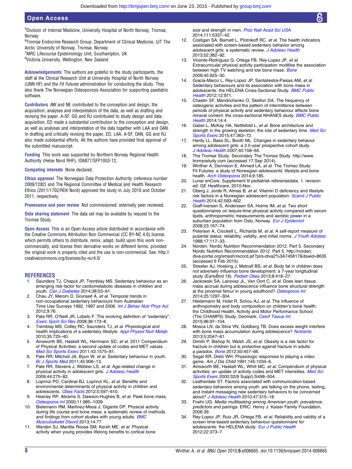5 Division of Internal Medicine, University Hospital of North Norway, Tromsø, **Norway** 

6 Tromsø Endocrine Research Group, Department of Clinical Medicine, UiT The Arctic University of Norway, Tromsø, Norway

<sup>7</sup>MRC Lifecourse Epidemiology Unit, Southampton, UK

<sup>8</sup>Victoria University, Wellington, New Zealand

Acknowledgements The authors are grateful to the study participants, the staff at the Clinical Research Unit at University Hospital of North Norway (UNN HF) and the Fit Futures administration for conducting the study. They also thank The Norwegian Osteoporosis Association for supporting paediatric software.

Contributors AW and NE contributed to the conception and design, the acquisition, analyses and interpretation of the data, as well as drafting and revising the paper. A-SF, GG and RJ contributed to study design and data acquisition. ED made a substantial contribution to the conception and design, as well as analyses and interpretation of the data together with LAA and OAN. In drafting and critically revising the paper, ED, LAA, A-SF, OAN, GG and RJ also made substantial efforts. All the authors have provided final approval of the submitted manuscript.

Funding This work was supported by Northern Norway Regional Health Authority (Helse Nord RHF), ID6877/SFP1053-12.

Competing interests None declared.

Ethics approval The Norwegian Data Protection Authority (reference number 2009/1282) and The Regional Committee of Medical and Health Research Ethics (2011/1702/REK Nord) approved the study in July 2010 and October 2011, respectively.

Provenance and peer review Not commissioned; externally peer reviewed.

Data sharing statement The data set may be available by request to the Tromsø Study.

Open Access This is an Open Access article distributed in accordance with the Creative Commons Attribution Non Commercial (CC BY-NC 4.0) license, which permits others to distribute, remix, adapt, build upon this work noncommercially, and license their derivative works on different terms, provided the original work is properly cited and the use is non-commercial. See: [http://](http://creativecommons.org/licenses/by-nc/4.0/) [creativecommons.org/licenses/by-nc/4.0/](http://creativecommons.org/licenses/by-nc/4.0/)

#### **REFERENCES**

- 1. Saunders TJ, Chaput JP, Tremblay MS. Sedentary behaviour as an emerging risk factor for cardiometabolic diseases in children and youth. *[Can J Diabetes](http://dx.doi.org/10.1016/j.jcjd.2013.08.266)* 2014;38:53-61.
- 2. Chau JY, Merom D, Grunseit A, et al. Temporal trends in non-occupational sedentary behaviours from Australian Time Use Surveys 1992, 1997 and 2006. [Int J Behav Nutr Phys Act](http://dx.doi.org/10.1186/1479-5868-9-76) 2012;9:76.
- 3. Pate RR, O'Neill JR, Lobelo F. The evolving definition of "sedentary". [Exerc Sport Sci Rev](http://dx.doi.org/10.1097/JES.0b013e3181877d1a) 2008;36:173–8.
- 4. Tremblay MS, Colley RC, Saunders TJ, et al. Physiological and health implications of a sedentary lifestyle. [Appl Physiol Nutr Metab](http://dx.doi.org/10.1139/H10-079) 2010;35:725–40.
- 5. Ainsworth BE, Haskell WL, Herrmann SD, et al. 2011 Compendium of Physical Activities: a second update of codes and MET values. [Med Sci Sports Exerc](http://dx.doi.org/10.1249/MSS.0b013e31821ece12) 2011;43:1575–81.
- 6. Pate RR, Mitchell JA, Byun W, et al. Sedentary behaviour in youth. [Br J Sports Med](http://dx.doi.org/10.1136/bjsports-2011-090192) 2011;45:906–13.
- 7. Pate RR, Stevens J, Webber LS, et al. Age-related change in physical activity in adolescent girls. [J Adolesc Health](http://dx.doi.org/10.1016/j.jadohealth.2008.07.003) 2009;44:275–82.
- 8. Loprinzi PD, Cardinal BJ, Loprinzi KL, et al. Benefits and environmental determinants of physical activity in children and adolescents. [Obes Facts](http://dx.doi.org/10.1159/000342684) 2012;5:597-610.
- 9. Heaney RP, Abrams S, Dawson-Hughes B, et al. Peak bone mass. [Osteoporos Int](http://dx.doi.org/10.1007/s001980070020) 2000;11:985–1009.
- 10. Bielemann RM, Martinez-Mesa J, Gigante DP. Physical activity during life course and bone mass: a systematic review of methods and findings from cohort studies with young adults. **[BMC](http://dx.doi.org/10.1186/1471-2474-14-77)** [Musculoskelet Disord](http://dx.doi.org/10.1186/1471-2474-14-77) 2013;14:77.
- 11. Warden SJ, Mantila Roosa SM, Kersh ME, et al. Physical activity when young provides lifelong benefits to cortical bone

size and strength in men. [Proc Natl Acad Sci USA](http://dx.doi.org/10.1073/pnas.1321605111) 2014;111:5337–42.

- 12. Costigan SA, Barnett L, Plotnikoff RC, et al. The health indicators associated with screen-based sedentary behavior among adolescent girls: a systematic review. [J Adolesc Health](http://dx.doi.org/10.1016/j.jadohealth.2012.07.018) 2013;52:382–92.
- 13. Vicente-Rodríguez G, Ortega FB, Rey-Lopez JP, et al. Extracurricular physical activity participation modifies the association between high TV watching and low bone mass. [Bone](http://dx.doi.org/10.1016/j.bone.2009.07.084) 2009;45:925–30.
- 14. Gracia-Marco L, Rey-Lopez JP, Santaliestra-Pasias AM, et al. Sedentary behaviours and its association with bone mass in adolescents: the HELENA Cross-Sectional Study. **[BMC Public](http://dx.doi.org/10.1186/1471-2458-12-971)** [Health](http://dx.doi.org/10.1186/1471-2458-12-971) 2012;12:971.
- 15. Chastin SF, Mandrichenko O, Skelton DA. The frequency of osteogenic activities and the pattern of intermittence between periods of physical activity and sedentary behaviour affects bone mineral content: the cross-sectional NHANES study. **[BMC Public](http://dx.doi.org/10.1186/1471-2458-14-4)** [Health](http://dx.doi.org/10.1186/1471-2458-14-4) 2014:14:4.
- 16. Gabel L, McKay HA, Nettlefold L, et al. Bone architecture and strength in the growing skeleton: the role of sedentary time. [Med Sci](http://dx.doi.org/10.1249/MSS.0000000000000418) [Sports Exerc](http://dx.doi.org/10.1249/MSS.0000000000000418) 2015;47:363-72.
- 17. Hardy LL, Bass SL, Booth ML. Changes in sedentary behavior among adolescent girls: a 2.5-year prospective cohort study. [J Adolesc Health](http://dx.doi.org/10.1016/j.jadohealth.2006.09.009) 2007;40:158–65.
- 18. The Tromsø Study. Secondary The Tromsø Study. [http://www.](http://www.tromsostudy.com) [tromsostudy.com](http://www.tromsostudy.com) (accessed 17 Sep 2014).
- 19. Winther A, Dennison E, Ahmed LA, et al. The Tromso Study: Fit Futures: a study of Norwegian adolescents' lifestyle and bone health. [Arch Osteoporos](http://dx.doi.org/10.1007/s11657-014-0185-0) 2014;9:185.
- 20. Lunar enCore, Supplement til pediatrisk referansedata. 1. revision ed: GE Healthcare, 2010-Nov.
- 21. Oberg J, Jorde R, Almas B, et al. Vitamin D deficiency and lifestyle risk factors in a Norwegian adolescent population. [Scand J Public](http://dx.doi.org/10.1177/1403494814541593) [Health](http://dx.doi.org/10.1177/1403494814541593) 2014;42:593–602.
- 22. Graff-Iversen S, Anderssen SA, Holme IM, et al. Two short questionnaires on leisure-time physical activity compared with serum lipids, anthropometric measurements and aerobic power in a suburban population from Oslo, Norway. [Eur J Epidemiol](http://dx.doi.org/10.1007/s10654-007-9214-2) 2008;23:167–74.
- 23. Petersen A, Crockett L, Richards M, et al. A self-report measure of pubertal status: reliability, validity, and initial norms. [J Youth Adolesc](http://dx.doi.org/10.1007/BF01537962) 1988;17:117–33.
- 24. Norden. Nordic Nutrition Recommendation 2012. Part 5. Secondary Nordic Nutrition Recommendation 2012. Part 5. [http://norden.](http://norden.diva-portal.org/smash/record.jsf?pid=diva2%3A745817&dswid=8635) [diva-portal.org/smash/record.jsf?pid=diva2%3A745817&dswid=8635](http://norden.diva-portal.org/smash/record.jsf?pid=diva2%3A745817&dswid=8635) (accessed 6 Feb 2015).
- 25. Streeter AJ, Hosking J, Metcalf BS, et al. Body fat in children does not adversely influence bone development: a 7-year longitudinal study (EarlyBird 18). [Pediatr Obes](http://dx.doi.org/10.1111/j.2047-6310.2012.00126.x) 2013;8:418-27.
- 26. Jackowski SA, Lanovaz JL, Van Oort C, et al. Does lean tissue mass accrual during adolescence influence bone structural strength at the proximal femur in young adulthood? [Osteoporos Int](http://dx.doi.org/10.1007/s00198-013-2592-2) 2014;25:1297–304.
- 27. Heidemann M, Holst R, Schou AJ, et al. The influence of anthropometry and body composition on children's bone health: the Childhood Health, Activity and Motor Performance School (The CHAMPS) Study, Denmark. [Calcif Tissue Int](http://dx.doi.org/10.1007/s00223-014-9941-9) 2015;96:97–104.
- 28. Mosca LN, da Silva VN, Goldberg TB. Does excess weight interfere with bone mass accumulation during adolescence? [Nutrients](http://dx.doi.org/10.3390/nu5062047) 2013;5:2047–61.
- 29. Dimitri P, Bishop N, Walsh JS, et al. Obesity is a risk factor for fracture in children but is protective against fracture in adults: a paradox. [Bone](http://dx.doi.org/10.1016/j.bone.2011.05.011) 2012;50:457–66.
- 30. Segal KR, Dietz WH. Physiologic responses to playing a video game. Am J Dis Child 1991;145:1034–6.
- 31. Ainsworth BE, Haskell WL, Whitt MC, et al. Compendium of physical activities: an update of activity codes and MET intensities. [Med Sci](http://dx.doi.org/10.1097/00005768-200009001-00009) [Sports Exerc](http://dx.doi.org/10.1097/00005768-200009001-00009) 2000;32(9 Suppl):S498–504.
- 32. Leatherdale ST. Factors associated with communication-based sedentary behaviors among youth: are talking on the phone, texting, and instant messaging new sedentary behaviors to be concerned about? [J Adolesc Health](http://dx.doi.org/10.1016/j.jadohealth.2010.02.012) 2010;47:315–18.
- 33. Foehr UG. Media multitasking among American youth: prevalence, predictors and pairings. ERIC: Henry J. Kaiser Family Foundation, 2006:39.
- 34. Rey-Lopez JP, Ruiz JR, Ortega FB, et al. Reliability and validity of a screen time-based sedentary behaviour questionnaire for adolescents: the HELENA study. [Eur J Public Health](http://dx.doi.org/10.1093/eurpub/ckr040) 2012;22:373–7.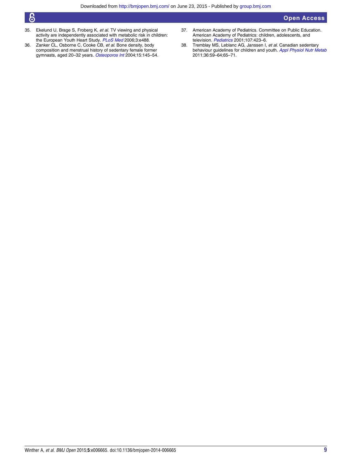## Open Access

- $\bm{6}$
- 35. Ekelund U, Brage S, Froberg K, *et al*. TV viewing and physical activity are independently associated with metabolic risk in children: the European Youth Heart Study. [PLoS Med](http://dx.doi.org/10.1371/journal.pmed.0030488) 2006;3:e488.
- 36. Zanker CL, Osborne C, Cooke CB, et al. Bone density, body composition and menstrual history of sedentary female former<br>gymnasts, aged 20–32 years. *[Osteoporos Int](http://dx.doi.org/10.1007/s00198-003-1524-y)* 2004;15:145–54.
- 37. American Academy of Pediatrics. Committee on Public Education. American Academy of Pediatrics: children, adolescents, and television. [Pediatrics](http://dx.doi.org/10.1542/peds.107.2.423) 2001;107:423-6.
- 38. Tremblay MS, Leblanc AG, Janssen I, et al. Canadian sedentary behaviour guidelines for children and youth. [Appl Physiol Nutr Metab](http://dx.doi.org/10.1139/H11-012) 2011;36:59–64;65–71.